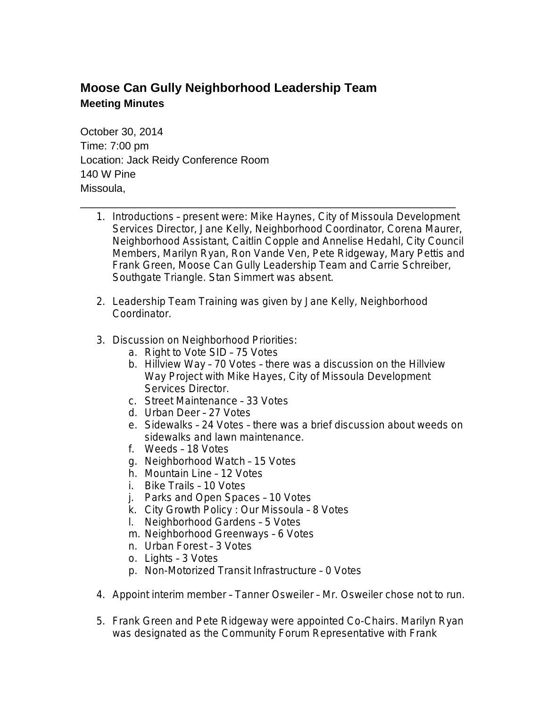## **Moose Can Gully Neighborhood Leadership Team Meeting Minutes**

October 30, 2014 Time: 7:00 pm Location: Jack Reidy Conference Room 140 W Pine Missoula,

1. Introductions – present were: Mike Haynes, City of Missoula Development Services Director, Jane Kelly, Neighborhood Coordinator, Corena Maurer, Neighborhood Assistant, Caitlin Copple and Annelise Hedahl, City Council Members, Marilyn Ryan, Ron Vande Ven, Pete Ridgeway, Mary Pettis and Frank Green, Moose Can Gully Leadership Team and Carrie Schreiber, Southgate Triangle. Stan Simmert was absent.

\_\_\_\_\_\_\_\_\_\_\_\_\_\_\_\_\_\_\_\_\_\_\_\_\_\_\_\_\_\_\_\_\_\_\_\_\_\_\_\_\_\_\_\_\_\_\_\_\_\_\_\_\_\_\_\_\_\_\_\_\_\_\_

- 2. Leadership Team Training was given by Jane Kelly, Neighborhood Coordinator.
- 3. Discussion on Neighborhood Priorities:
	- a. Right to Vote SID 75 Votes
	- b. Hillview Way 70 Votes there was a discussion on the Hillview Way Project with Mike Hayes, City of Missoula Development Services Director.
	- c. Street Maintenance 33 Votes
	- d. Urban Deer 27 Votes
	- e. Sidewalks 24 Votes there was a brief discussion about weeds on sidewalks and lawn maintenance.
	- f. Weeds 18 Votes
	- g. Neighborhood Watch 15 Votes
	- h. Mountain Line 12 Votes
	- i. Bike Trails 10 Votes
	- j. Parks and Open Spaces 10 Votes
	- k. City Growth Policy : Our Missoula 8 Votes
	- l. Neighborhood Gardens 5 Votes
	- m. Neighborhood Greenways 6 Votes
	- n. Urban Forest 3 Votes
	- o. Lights 3 Votes
	- p. Non-Motorized Transit Infrastructure 0 Votes
- 4. Appoint interim member Tanner Osweiler Mr. Osweiler chose not to run.
- 5. Frank Green and Pete Ridgeway were appointed Co-Chairs. Marilyn Ryan was designated as the Community Forum Representative with Frank